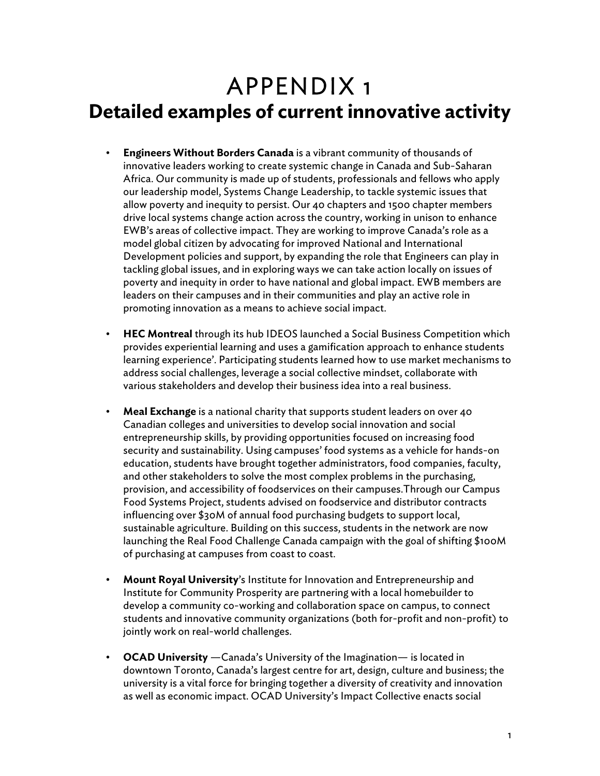## APPENDIX 1 **Detailed examples of current innovative activity**

- **Engineers Without Borders Canada** is a vibrant community of thousands of innovative leaders working to create systemic change in Canada and Sub-Saharan Africa. Our community is made up of students, professionals and fellows who apply our leadership model, Systems Change Leadership, to tackle systemic issues that allow poverty and inequity to persist. Our 40 chapters and 1500 chapter members drive local systems change action across the country, working in unison to enhance EWB's areas of collective impact. They are working to improve Canada's role as a model global citizen by advocating for improved National and International Development policies and support, by expanding the role that Engineers can play in tackling global issues, and in exploring ways we can take action locally on issues of poverty and inequity in order to have national and global impact. EWB members are leaders on their campuses and in their communities and play an active role in promoting innovation as a means to achieve social impact.
- **HEC Montreal** through its hub IDEOS launched a Social Business Competition which provides experiential learning and uses a gamification approach to enhance students learning experience'. Participating students learned how to use market mechanisms to address social challenges, leverage a social collective mindset, collaborate with various stakeholders and develop their business idea into a real business.
- **Meal Exchange** is a national charity that supports student leaders on over 40 Canadian colleges and universities to develop social innovation and social entrepreneurship skills, by providing opportunities focused on increasing food security and sustainability. Using campuses' food systems as a vehicle for hands-on education, students have brought together administrators, food companies, faculty, and other stakeholders to solve the most complex problems in the purchasing, provision, and accessibility of foodservices on their campuses.Through our Campus Food Systems Project, students advised on foodservice and distributor contracts influencing over \$30M of annual food purchasing budgets to support local, sustainable agriculture. Building on this success, students in the network are now launching the Real Food Challenge Canada campaign with the goal of shifting \$100M of purchasing at campuses from coast to coast.
- **Mount Royal University**'s Institute for Innovation and Entrepreneurship and Institute for Community Prosperity are partnering with a local homebuilder to develop a community co-working and collaboration space on campus, to connect students and innovative community organizations (both for-profit and non-profit) to jointly work on real-world challenges.
- **OCAD University** —Canada's University of the Imagination— is located in downtown Toronto, Canada's largest centre for art, design, culture and business; the university is a vital force for bringing together a diversity of creativity and innovation as well as economic impact. OCAD University's Impact Collective enacts social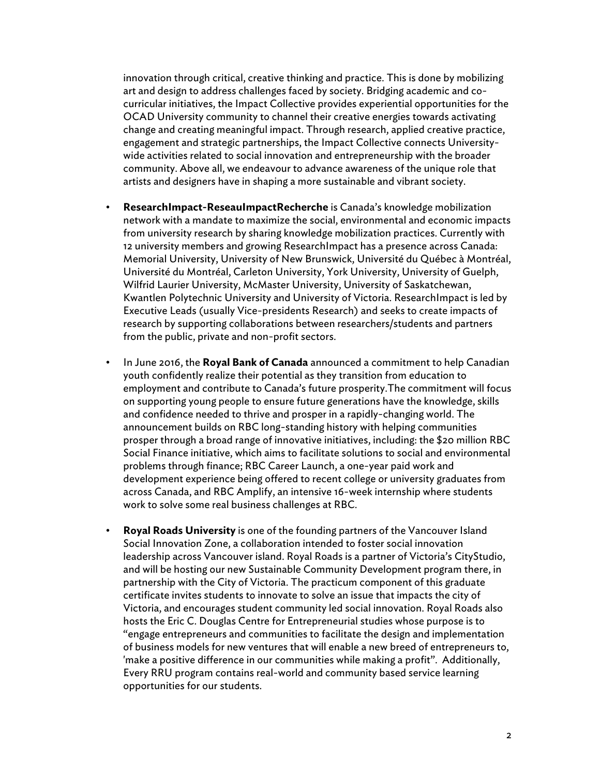innovation through critical, creative thinking and practice. This is done by mobilizing art and design to address challenges faced by society. Bridging academic and cocurricular initiatives, the Impact Collective provides experiential opportunities for the OCAD University community to channel their creative energies towards activating change and creating meaningful impact. Through research, applied creative practice, engagement and strategic partnerships, the Impact Collective connects Universitywide activities related to social innovation and entrepreneurship with the broader community. Above all, we endeavour to advance awareness of the unique role that artists and designers have in shaping a more sustainable and vibrant society.

- **ResearchImpact-ReseauImpactRecherche** is Canada's knowledge mobilization network with a mandate to maximize the social, environmental and economic impacts from university research by sharing knowledge mobilization practices. Currently with 12 university members and growing ResearchImpact has a presence across Canada: Memorial University, University of New Brunswick, Université du Québec à Montréal, Université du Montréal, Carleton University, York University, University of Guelph, Wilfrid Laurier University, McMaster University, University of Saskatchewan, Kwantlen Polytechnic University and University of Victoria. ResearchImpact is led by Executive Leads (usually Vice-presidents Research) and seeks to create impacts of research by supporting collaborations between researchers/students and partners from the public, private and non-profit sectors.
- In June 2016, the **Royal Bank of Canada** announced a commitment to help Canadian youth confidently realize their potential as they transition from education to employment and contribute to Canada's future prosperity.The commitment will focus on supporting young people to ensure future generations have the knowledge, skills and confidence needed to thrive and prosper in a rapidly-changing world. The announcement builds on RBC long-standing history with helping communities prosper through a broad range of innovative initiatives, including: the \$20 million RBC Social Finance initiative, which aims to facilitate solutions to social and environmental problems through finance; RBC Career Launch, a one-year paid work and development experience being offered to recent college or university graduates from across Canada, and RBC Amplify, an intensive 16-week internship where students work to solve some real business challenges at RBC.
- **Royal Roads University** is one of the founding partners of the Vancouver Island Social Innovation Zone, a collaboration intended to foster social innovation leadership across Vancouver island. Royal Roads is a partner of Victoria's CityStudio, and will be hosting our new Sustainable Community Development program there, in partnership with the City of Victoria. The practicum component of this graduate certificate invites students to innovate to solve an issue that impacts the city of Victoria, and encourages student community led social innovation. Royal Roads also hosts the Eric C. Douglas Centre for Entrepreneurial studies whose purpose is to "engage entrepreneurs and communities to facilitate the design and implementation of business models for new ventures that will enable a new breed of entrepreneurs to, 'make a positive difference in our communities while making a profit". Additionally, Every RRU program contains real-world and community based service learning opportunities for our students.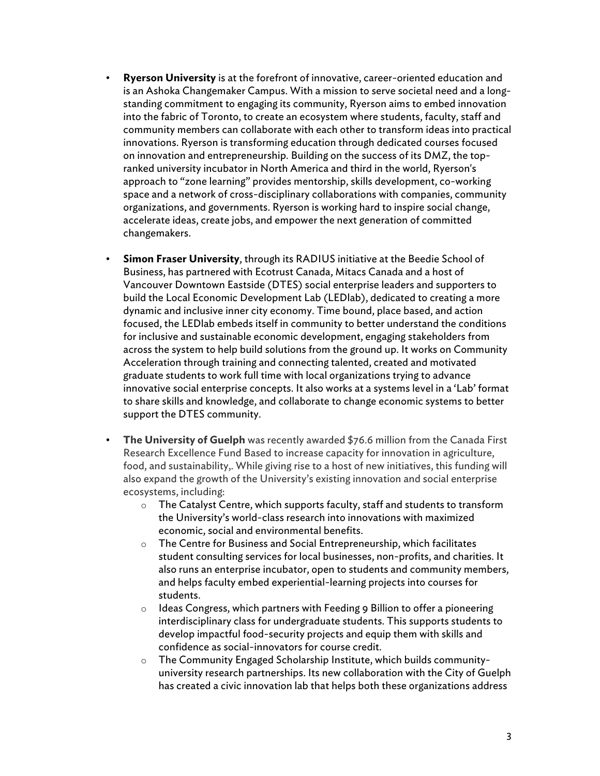- **Ryerson University** is at the forefront of innovative, career-oriented education and is an Ashoka Changemaker Campus. With a mission to serve societal need and a longstanding commitment to engaging its community, Ryerson aims to embed innovation into the fabric of Toronto, to create an ecosystem where students, faculty, staff and community members can collaborate with each other to transform ideas into practical innovations. Ryerson is transforming education through dedicated courses focused on innovation and entrepreneurship. Building on the success of its DMZ, the topranked university incubator in North America and third in the world, Ryerson's approach to "zone learning" provides mentorship, skills development, co-working space and a network of cross-disciplinary collaborations with companies, community organizations, and governments. Ryerson is working hard to inspire social change, accelerate ideas, create jobs, and empower the next generation of committed changemakers.
- **Simon Fraser University**, through its RADIUS initiative at the Beedie School of Business, has partnered with Ecotrust Canada, Mitacs Canada and a host of Vancouver Downtown Eastside (DTES) social enterprise leaders and supporters to build the Local Economic Development Lab (LEDlab), dedicated to creating a more dynamic and inclusive inner city economy. Time bound, place based, and action focused, the LEDlab embeds itself in community to better understand the conditions for inclusive and sustainable economic development, engaging stakeholders from across the system to help build solutions from the ground up. It works on Community Acceleration through training and connecting talented, created and motivated graduate students to work full time with local organizations trying to advance innovative social enterprise concepts. It also works at a systems level in a 'Lab' format to share skills and knowledge, and collaborate to change economic systems to better support the DTES community.
- **The University of Guelph** was recently awarded \$76.6 million from the Canada First Research Excellence Fund Based to increase capacity for innovation in agriculture, food, and sustainability,. While giving rise to a host of new initiatives, this funding will also expand the growth of the University's existing innovation and social enterprise ecosystems, including:
	- $\circ$  The Catalyst Centre, which supports faculty, staff and students to transform the University's world-class research into innovations with maximized economic, social and environmental benefits.
	- o The Centre for Business and Social Entrepreneurship, which facilitates student consulting services for local businesses, non-profits, and charities. It also runs an enterprise incubator, open to students and community members, and helps faculty embed experiential-learning projects into courses for students.
	- o Ideas Congress, which partners with Feeding 9 Billion to offer a pioneering interdisciplinary class for undergraduate students. This supports students to develop impactful food-security projects and equip them with skills and confidence as social-innovators for course credit.
	- $\circ$  The Community Engaged Scholarship Institute, which builds communityuniversity research partnerships. Its new collaboration with the City of Guelph has created a civic innovation lab that helps both these organizations address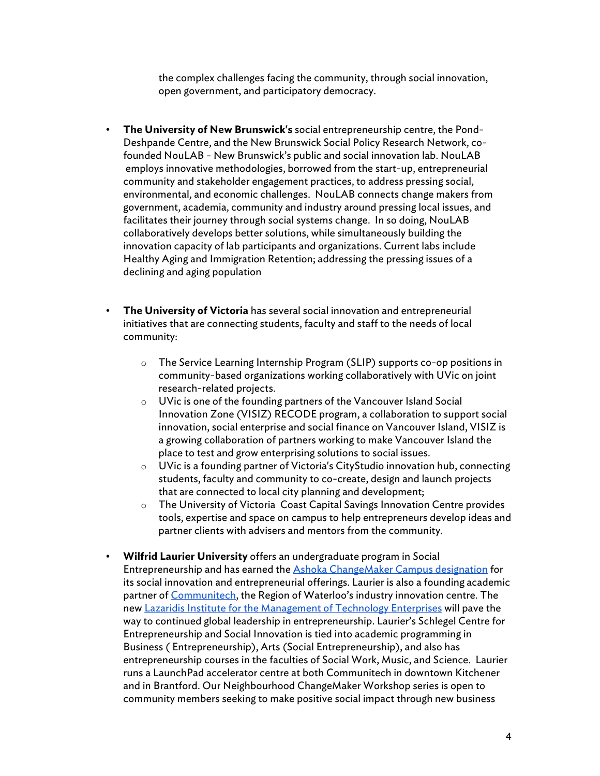the complex challenges facing the community, through social innovation, open government, and participatory democracy.

- **The University of New Brunswick's** social entrepreneurship centre, the Pond-Deshpande Centre, and the New Brunswick Social Policy Research Network, cofounded NouLAB - New Brunswick's public and social innovation lab. NouLAB employs innovative methodologies, borrowed from the start-up, entrepreneurial community and stakeholder engagement practices, to address pressing social, environmental, and economic challenges. NouLAB connects change makers from government, academia, community and industry around pressing local issues, and facilitates their journey through social systems change. In so doing, NouLAB collaboratively develops better solutions, while simultaneously building the innovation capacity of lab participants and organizations. Current labs include Healthy Aging and Immigration Retention; addressing the pressing issues of a declining and aging population
- **The University of Victoria** has several social innovation and entrepreneurial initiatives that are connecting students, faculty and staff to the needs of local community:
	- o The Service Learning Internship Program (SLIP) supports co-op positions in community-based organizations working collaboratively with UVic on joint research-related projects.
	- o UVic is one of the founding partners of the Vancouver Island Social Innovation Zone (VISIZ) RECODE program, a collaboration to support social innovation, social enterprise and social finance on Vancouver Island, VISIZ is a growing collaboration of partners working to make Vancouver Island the place to test and grow enterprising solutions to social issues.
	- $\circ$  UVic is a founding partner of Victoria's CityStudio innovation hub, connecting students, faculty and community to co-create, design and launch projects that are connected to local city planning and development;
	- o The University of Victoria Coast Capital Savings Innovation Centre provides tools, expertise and space on campus to help entrepreneurs develop ideas and partner clients with advisers and mentors from the community.
- **Wilfrid Laurier University** offers an undergraduate program in Social Entrepreneurship and has earned the Ashoka ChangeMaker Campus designation for its social innovation and entrepreneurial offerings. Laurier is also a founding academic partner of Communitech, the Region of Waterloo's industry innovation centre. The new Lazaridis Institute for the Management of Technology Enterprises will pave the way to continued global leadership in entrepreneurship. Laurier's Schlegel Centre for Entrepreneurship and Social Innovation is tied into academic programming in Business ( Entrepreneurship), Arts (Social Entrepreneurship), and also has entrepreneurship courses in the faculties of Social Work, Music, and Science. Laurier runs a LaunchPad accelerator centre at both Communitech in downtown Kitchener and in Brantford. Our Neighbourhood ChangeMaker Workshop series is open to community members seeking to make positive social impact through new business